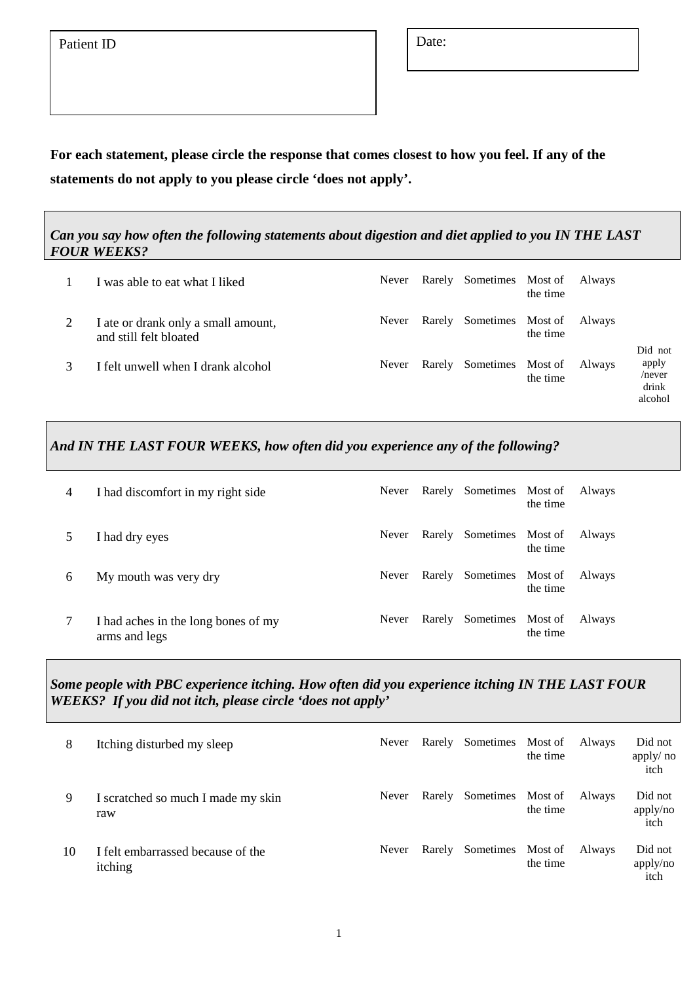**For each statement, please circle the response that comes closest to how you feel. If any of the statements do not apply to you please circle 'does not apply'.** 

*Can you say how often the following statements about digestion and diet applied to you IN THE LAST FOUR WEEKS?*

| I was able to eat what I liked                                | Never |        | Rarely Sometimes Most of | the time | Always |                                                   |
|---------------------------------------------------------------|-------|--------|--------------------------|----------|--------|---------------------------------------------------|
| I ate or drank only a small amount,<br>and still felt bloated | Never |        | Rarely Sometimes Most of | the time | Always |                                                   |
| I felt unwell when I drank alcohol                            | Never | Rarely | Sometimes Most of        | the time | Always | Did not<br>apply<br>$/$ never<br>drink<br>alcohol |

# *And IN THE LAST FOUR WEEKS, how often did you experience any of the following?*

| 4 | I had discomfort in my right side                    | Never |        | Rarely Sometimes         | Most of<br>the time | Always |
|---|------------------------------------------------------|-------|--------|--------------------------|---------------------|--------|
|   | I had dry eyes                                       | Never |        | Rarely Sometimes Most of | the time            | Always |
| 6 | My mouth was very dry                                | Never | Rarely | Sometimes                | Most of<br>the time | Always |
|   | I had aches in the long bones of my<br>arms and legs | Never | Rarely | Sometimes                | Most of<br>the time | Always |

# *Some people with PBC experience itching. How often did you experience itching IN THE LAST FOUR WEEKS? If you did not itch, please circle 'does not apply'*

| 8  | Itching disturbed my sleep                   | Never | Rarely | Sometimes | Most of<br>the time | Always | Did not<br>apply/no<br>itch |
|----|----------------------------------------------|-------|--------|-----------|---------------------|--------|-----------------------------|
| 9  | I scratched so much I made my skin<br>raw    | Never | Rarely | Sometimes | Most of<br>the time | Always | Did not<br>apply/no<br>itch |
| 10 | I felt embarrassed because of the<br>itching | Never | Rarely | Sometimes | Most of<br>the time | Always | Did not<br>apply/no<br>itch |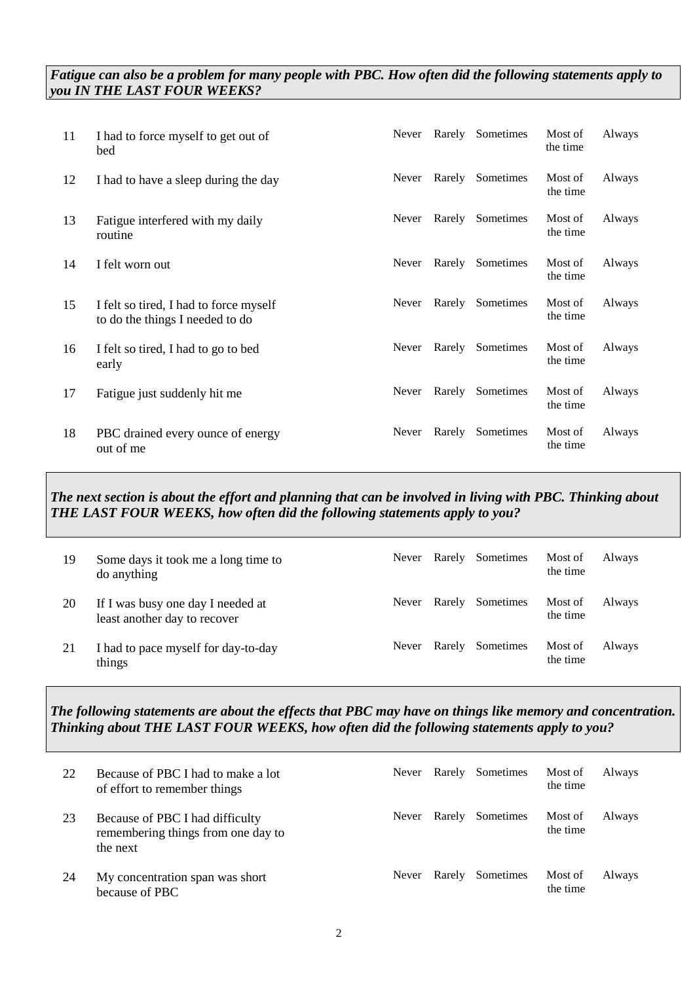# *Fatigue can also be a problem for many people with PBC. How often did the following statements apply to you IN THE LAST FOUR WEEKS?*

| 11 | I had to force myself to get out of<br>bed                                | Never | Rarely | Sometimes | Most of<br>the time | Always |
|----|---------------------------------------------------------------------------|-------|--------|-----------|---------------------|--------|
| 12 | I had to have a sleep during the day                                      | Never | Rarely | Sometimes | Most of<br>the time | Always |
| 13 | Fatigue interfered with my daily<br>routine                               | Never | Rarely | Sometimes | Most of<br>the time | Always |
| 14 | I felt worn out                                                           | Never | Rarely | Sometimes | Most of<br>the time | Always |
| 15 | I felt so tired, I had to force myself<br>to do the things I needed to do | Never | Rarely | Sometimes | Most of<br>the time | Always |
| 16 | I felt so tired, I had to go to bed<br>early                              | Never | Rarely | Sometimes | Most of<br>the time | Always |
| 17 | Fatigue just suddenly hit me                                              | Never | Rarely | Sometimes | Most of<br>the time | Always |
| 18 | PBC drained every ounce of energy<br>out of me                            | Never | Rarely | Sometimes | Most of<br>the time | Always |

# *The next section is about the effort and planning that can be involved in living with PBC. Thinking about THE LAST FOUR WEEKS, how often did the following statements apply to you?*

| 19 | Some days it took me a long time to<br>do anything                | Never        | Rarely | Sometimes | Most of<br>the time | Always |
|----|-------------------------------------------------------------------|--------------|--------|-----------|---------------------|--------|
| 20 | If I was busy one day I needed at<br>least another day to recover | <b>Never</b> | Rarely | Sometimes | Most of<br>the time | Always |
| 21 | I had to pace myself for day-to-day<br>things                     | Never        | Rarely | Sometimes | Most of<br>the time | Always |

# *The following statements are about the effects that PBC may have on things like memory and concentration. Thinking about THE LAST FOUR WEEKS, how often did the following statements apply to you?*

| 22 | Because of PBC I had to make a lot<br>of effort to remember things                | Never | Rarely | Sometimes | Most of<br>the time | Always |
|----|-----------------------------------------------------------------------------------|-------|--------|-----------|---------------------|--------|
| 23 | Because of PBC I had difficulty<br>remembering things from one day to<br>the next | Never | Rarely | Sometimes | Most of<br>the time | Always |
| 24 | My concentration span was short<br>because of PBC                                 | Never | Rarely | Sometimes | Most of<br>the time | Always |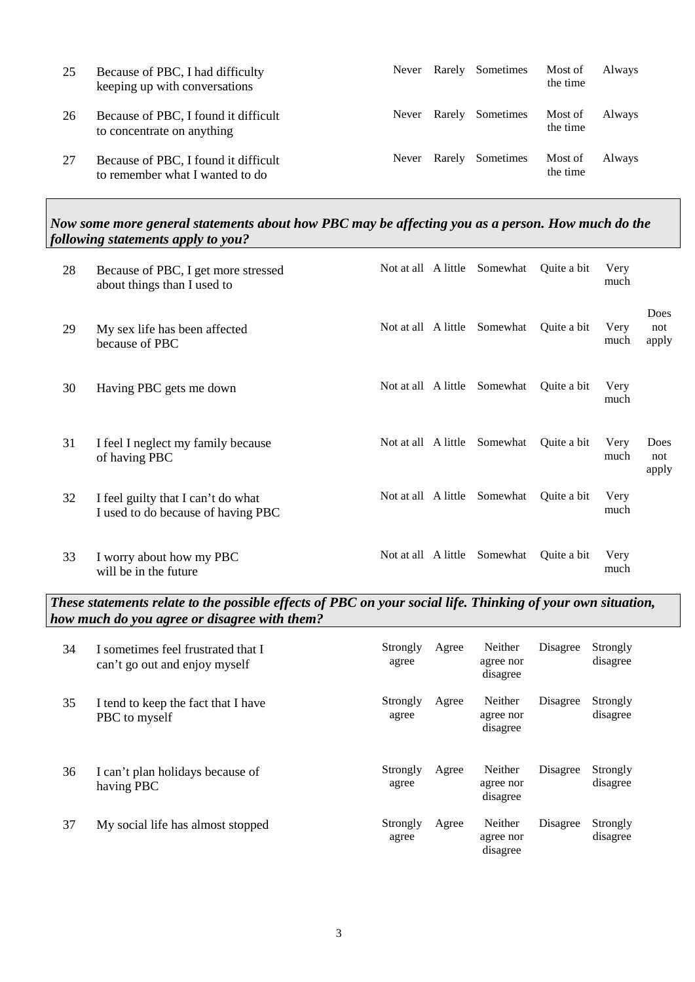| 25 | Because of PBC, I had difficulty<br>keeping up with conversations       | Never | Rarely | Sometimes | Most of<br>the time | Always |
|----|-------------------------------------------------------------------------|-------|--------|-----------|---------------------|--------|
| 26 | Because of PBC, I found it difficult<br>to concentrate on anything      | Never | Rarely | Sometimes | Most of<br>the time | Always |
| 27 | Because of PBC, I found it difficult<br>to remember what I wanted to do | Never | Rarely | Sometimes | Most of<br>the time | Always |

#### *Now some more general statements about how PBC may be affecting you as a person. How much do the following statements apply to you?*

| 28 | Because of PBC, I get more stressed<br>about things than I used to       |                     | Not at all A little Somewhat | Quite a bit | Very<br>much |                      |
|----|--------------------------------------------------------------------------|---------------------|------------------------------|-------------|--------------|----------------------|
| 29 | My sex life has been affected<br>because of PBC                          | Not at all A little | Somewhat                     | Quite a bit | Very<br>much | Does<br>not<br>apply |
| 30 | Having PBC gets me down                                                  | Not at all A little | Somewhat                     | Quite a bit | Very<br>much |                      |
| 31 | I feel I neglect my family because<br>of having PBC                      | Not at all A little | Somewhat                     | Quite a bit | Very<br>much | Does<br>not<br>apply |
| 32 | I feel guilty that I can't do what<br>I used to do because of having PBC | Not at all A little | Somewhat                     | Quite a bit | Very<br>much |                      |
| 33 | I worry about how my PBC<br>will be in the future                        | Not at all A little | Somewhat                     | Quite a bit | Very<br>much |                      |

*These statements relate to the possible effects of PBC on your social life. Thinking of your own situation, how much do you agree or disagree with them?*

| 34 | I sometimes feel frustrated that I<br>can't go out and enjoy myself | Strongly<br>agree | Agree | Neither<br>agree nor<br>disagree | Disagree | Strongly<br>disagree |
|----|---------------------------------------------------------------------|-------------------|-------|----------------------------------|----------|----------------------|
| 35 | I tend to keep the fact that I have<br>PBC to myself                | Strongly<br>agree | Agree | Neither<br>agree nor<br>disagree | Disagree | Strongly<br>disagree |
| 36 | I can't plan holidays because of<br>having PBC                      | Strongly<br>agree | Agree | Neither<br>agree nor<br>disagree | Disagree | Strongly<br>disagree |
| 37 | My social life has almost stopped                                   | Strongly<br>agree | Agree | Neither<br>agree nor<br>disagree | Disagree | Strongly<br>disagree |